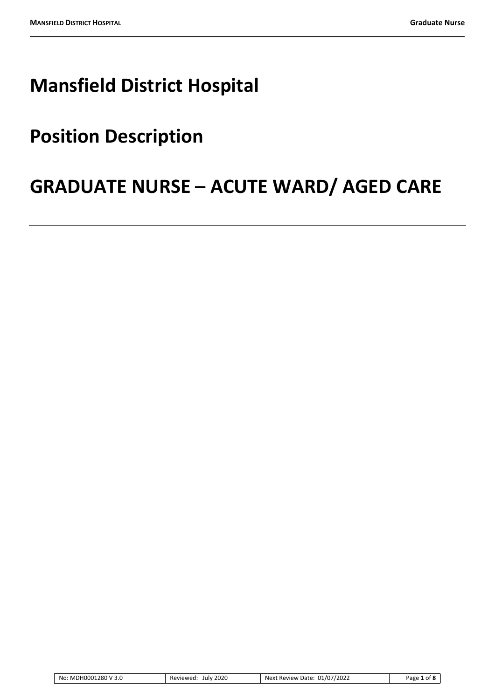# **Mansfield District Hospital**

# **Position Description**

# **GRADUATE NURSE – ACUTE WARD/ AGED CARE**

| 1280 V 3.0<br>No: MDH0001<br>___ | 2020<br>July<br>Reviewed<br>___ | 01/07/2022<br>Date:<br>Nevt<br>Review | 'age |
|----------------------------------|---------------------------------|---------------------------------------|------|
|                                  |                                 |                                       |      |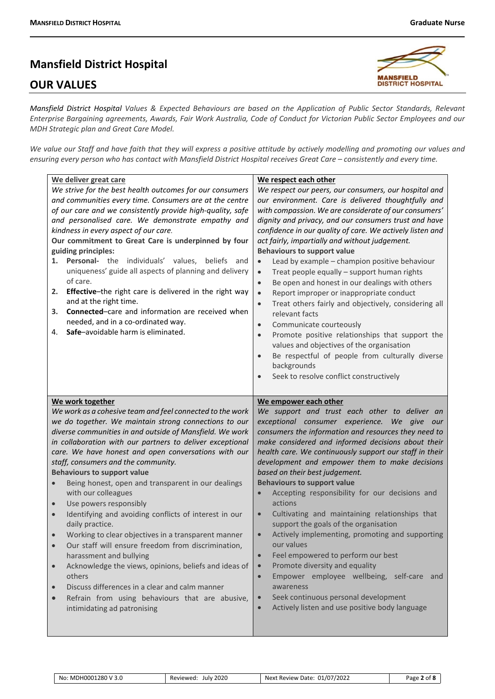# **Mansfield District Hospital**

# **OUR VALUES**



*Mansfield District Hospital Values & Expected Behaviours are based on the Application of Public Sector Standards, Relevant Enterprise Bargaining agreements, Awards, Fair Work Australia, Code of Conduct for Victorian Public Sector Employees and our MDH Strategic plan and Great Care Model.*

*We value our Staff and have faith that they will express a positive attitude by actively modelling and promoting our values and ensuring every person who has contact with Mansfield District Hospital receives Great Care – consistently and every time.*

| We deliver great care<br>We strive for the best health outcomes for our consumers<br>and communities every time. Consumers are at the centre<br>of our care and we consistently provide high-quality, safe<br>and personalised care. We demonstrate empathy and<br>kindness in every aspect of our care.<br>Our commitment to Great Care is underpinned by four<br>guiding principles:<br>Personal- the individuals' values,<br>beliefs<br>1.<br>and<br>uniqueness' guide all aspects of planning and delivery<br>of care.<br>Effective-the right care is delivered in the right way<br>2.<br>and at the right time.<br>Connected-care and information are received when<br>3.<br>needed, and in a co-ordinated way.<br>Safe-avoidable harm is eliminated.<br>4.                                                                                                                                                                                                 | We respect each other<br>We respect our peers, our consumers, our hospital and<br>our environment. Care is delivered thoughtfully and<br>with compassion. We are considerate of our consumers'<br>dignity and privacy, and our consumers trust and have<br>confidence in our quality of care. We actively listen and<br>act fairly, impartially and without judgement.<br><b>Behaviours to support value</b><br>Lead by example - champion positive behaviour<br>$\bullet$<br>Treat people equally - support human rights<br>$\bullet$<br>Be open and honest in our dealings with others<br>$\bullet$<br>Report improper or inappropriate conduct<br>$\bullet$<br>Treat others fairly and objectively, considering all<br>$\bullet$<br>relevant facts<br>Communicate courteously<br>$\bullet$<br>Promote positive relationships that support the<br>$\bullet$<br>values and objectives of the organisation<br>Be respectful of people from culturally diverse<br>backgrounds<br>Seek to resolve conflict constructively<br>$\bullet$ |
|------------------------------------------------------------------------------------------------------------------------------------------------------------------------------------------------------------------------------------------------------------------------------------------------------------------------------------------------------------------------------------------------------------------------------------------------------------------------------------------------------------------------------------------------------------------------------------------------------------------------------------------------------------------------------------------------------------------------------------------------------------------------------------------------------------------------------------------------------------------------------------------------------------------------------------------------------------------|--------------------------------------------------------------------------------------------------------------------------------------------------------------------------------------------------------------------------------------------------------------------------------------------------------------------------------------------------------------------------------------------------------------------------------------------------------------------------------------------------------------------------------------------------------------------------------------------------------------------------------------------------------------------------------------------------------------------------------------------------------------------------------------------------------------------------------------------------------------------------------------------------------------------------------------------------------------------------------------------------------------------------------------|
| We work together<br>We work as a cohesive team and feel connected to the work<br>we do together. We maintain strong connections to our<br>diverse communities in and outside of Mansfield. We work<br>in collaboration with our partners to deliver exceptional<br>care. We have honest and open conversations with our<br>staff, consumers and the community.<br><b>Behaviours to support value</b><br>Being honest, open and transparent in our dealings<br>with our colleagues<br>Use powers responsibly<br>$\bullet$<br>Identifying and avoiding conflicts of interest in our<br>daily practice.<br>Working to clear objectives in a transparent manner<br>Our staff will ensure freedom from discrimination,<br>harassment and bullying<br>Acknowledge the views, opinions, beliefs and ideas of<br>$\bullet$<br>others<br>Discuss differences in a clear and calm manner<br>Refrain from using behaviours that are abusive,<br>intimidating ad patronising | We empower each other<br>We support and trust each other to deliver an<br>exceptional consumer experience.<br>We give our<br>consumers the information and resources they need to<br>make considered and informed decisions about their<br>health care. We continuously support our staff in their<br>development and empower them to make decisions<br>based on their best judgement.<br><b>Behaviours to support value</b><br>Accepting responsibility for our decisions and<br>actions<br>Cultivating and maintaining relationships that<br>support the goals of the organisation<br>Actively implementing, promoting and supporting<br>$\bullet$<br>our values<br>Feel empowered to perform our best<br>$\bullet$<br>Promote diversity and equality<br>$\bullet$<br>Empower employee wellbeing, self-care and<br>$\bullet$<br>awareness<br>Seek continuous personal development<br>Actively listen and use positive body language<br>$\bullet$                                                                                   |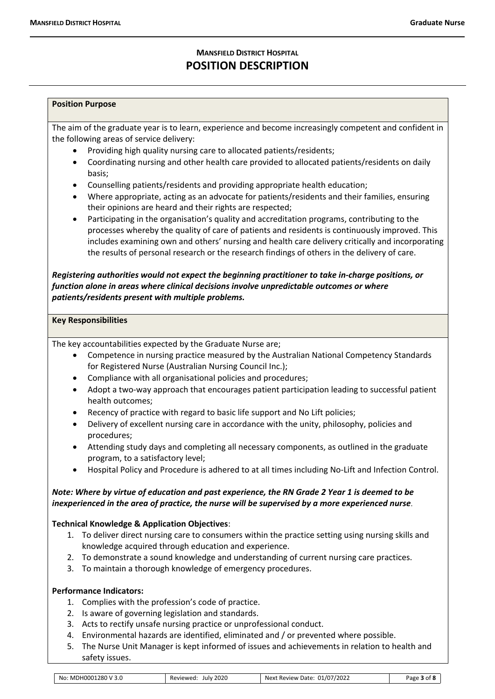# **MANSFIELD DISTRICT HOSPITAL POSITION DESCRIPTION**

### **Position Purpose**

The aim of the graduate year is to learn, experience and become increasingly competent and confident in the following areas of service delivery:

- Providing high quality nursing care to allocated patients/residents:
- Coordinating nursing and other health care provided to allocated patients/residents on daily basis;
- Counselling patients/residents and providing appropriate health education;
- Where appropriate, acting as an advocate for patients/residents and their families, ensuring their opinions are heard and their rights are respected;
- Participating in the organisation's quality and accreditation programs, contributing to the processes whereby the quality of care of patients and residents is continuously improved. This includes examining own and others' nursing and health care delivery critically and incorporating the results of personal research or the research findings of others in the delivery of care.

*Registering authorities would not expect the beginning practitioner to take in-charge positions, or function alone in areas where clinical decisions involve unpredictable outcomes or where patients/residents present with multiple problems.*

#### **Key Responsibilities**

The key accountabilities expected by the Graduate Nurse are;

- Competence in nursing practice measured by the Australian National Competency Standards for Registered Nurse (Australian Nursing Council Inc.);
- Compliance with all organisational policies and procedures;
- Adopt a two-way approach that encourages patient participation leading to successful patient health outcomes;
- Recency of practice with regard to basic life support and No Lift policies;
- Delivery of excellent nursing care in accordance with the unity, philosophy, policies and procedures;
- Attending study days and completing all necessary components, as outlined in the graduate program, to a satisfactory level;
- Hospital Policy and Procedure is adhered to at all times including No-Lift and Infection Control.

# *Note: Where by virtue of education and past experience, the RN Grade 2 Year 1 is deemed to be inexperienced in the area of practice, the nurse will be supervised by a more experienced nurse*.

# **Technical Knowledge & Application Objectives**:

- 1. To deliver direct nursing care to consumers within the practice setting using nursing skills and knowledge acquired through education and experience.
- 2. To demonstrate a sound knowledge and understanding of current nursing care practices.
- 3. To maintain a thorough knowledge of emergency procedures.

# **Performance Indicators:**

- 1. Complies with the profession's code of practice.
- 2. Is aware of governing legislation and standards.
- 3. Acts to rectify unsafe nursing practice or unprofessional conduct.
- 4. Environmental hazards are identified, eliminated and / or prevented where possible.
- 5. The Nurse Unit Manager is kept informed of issues and achievements in relation to health and safety issues.

| : MDH0001280 V 3.0<br>No: | 2020<br>Reviewed:<br>July | 01/07/2022<br>Date<br>Review<br>Nex* | nt 8<br>Page |
|---------------------------|---------------------------|--------------------------------------|--------------|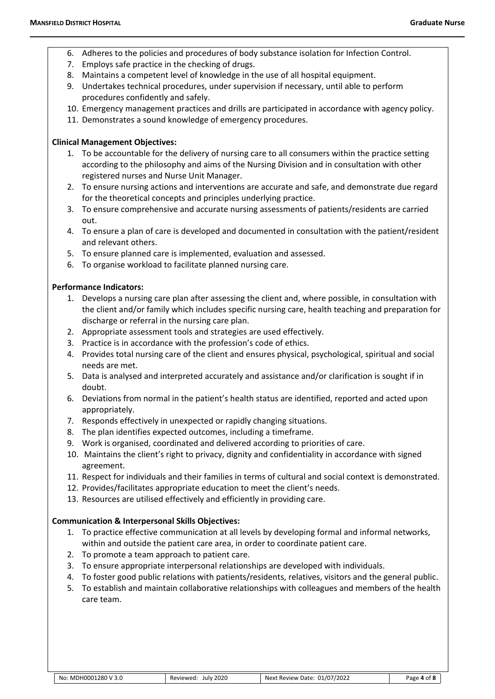- 6. Adheres to the policies and procedures of body substance isolation for Infection Control.
- 7. Employs safe practice in the checking of drugs.
- 8. Maintains a competent level of knowledge in the use of all hospital equipment.
- 9. Undertakes technical procedures, under supervision if necessary, until able to perform procedures confidently and safely.
- 10. Emergency management practices and drills are participated in accordance with agency policy.
- 11. Demonstrates a sound knowledge of emergency procedures.

# **Clinical Management Objectives:**

- 1. To be accountable for the delivery of nursing care to all consumers within the practice setting according to the philosophy and aims of the Nursing Division and in consultation with other registered nurses and Nurse Unit Manager.
- 2. To ensure nursing actions and interventions are accurate and safe, and demonstrate due regard for the theoretical concepts and principles underlying practice.
- 3. To ensure comprehensive and accurate nursing assessments of patients/residents are carried out.
- 4. To ensure a plan of care is developed and documented in consultation with the patient/resident and relevant others.
- 5. To ensure planned care is implemented, evaluation and assessed.
- 6. To organise workload to facilitate planned nursing care.

# **Performance Indicators:**

- 1. Develops a nursing care plan after assessing the client and, where possible, in consultation with the client and/or family which includes specific nursing care, health teaching and preparation for discharge or referral in the nursing care plan.
- 2. Appropriate assessment tools and strategies are used effectively.
- 3. Practice is in accordance with the profession's code of ethics.
- 4. Provides total nursing care of the client and ensures physical, psychological, spiritual and social needs are met.
- 5. Data is analysed and interpreted accurately and assistance and/or clarification is sought if in doubt.
- 6. Deviations from normal in the patient's health status are identified, reported and acted upon appropriately.
- 7. Responds effectively in unexpected or rapidly changing situations.
- 8. The plan identifies expected outcomes, including a timeframe.
- 9. Work is organised, coordinated and delivered according to priorities of care.
- 10. Maintains the client's right to privacy, dignity and confidentiality in accordance with signed agreement.
- 11. Respect for individuals and their families in terms of cultural and social context is demonstrated.
- 12. Provides/facilitates appropriate education to meet the client's needs.
- 13. Resources are utilised effectively and efficiently in providing care.

# **Communication & Interpersonal Skills Objectives:**

- 1. To practice effective communication at all levels by developing formal and informal networks, within and outside the patient care area, in order to coordinate patient care.
- 2. To promote a team approach to patient care.
- 3. To ensure appropriate interpersonal relationships are developed with individuals.
- 4. To foster good public relations with patients/residents, relatives, visitors and the general public.
- 5. To establish and maintain collaborative relationships with colleagues and members of the health care team.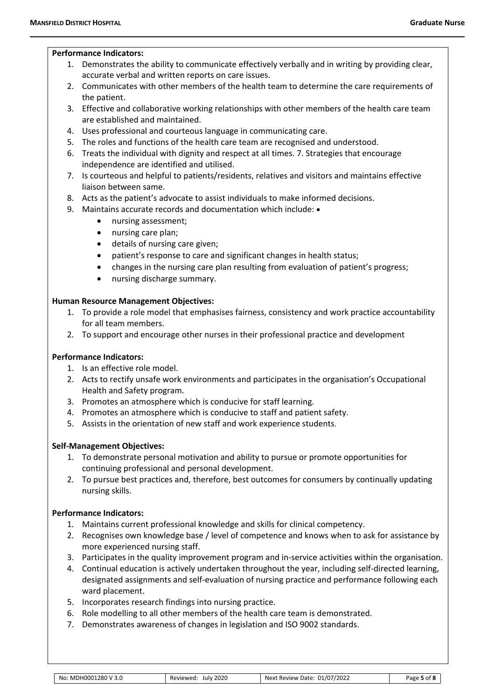#### **Performance Indicators:**

- 1. Demonstrates the ability to communicate effectively verbally and in writing by providing clear, accurate verbal and written reports on care issues.
- 2. Communicates with other members of the health team to determine the care requirements of the patient.
- 3. Effective and collaborative working relationships with other members of the health care team are established and maintained.
- 4. Uses professional and courteous language in communicating care.
- 5. The roles and functions of the health care team are recognised and understood.
- 6. Treats the individual with dignity and respect at all times. 7. Strategies that encourage independence are identified and utilised.
- 7. Is courteous and helpful to patients/residents, relatives and visitors and maintains effective liaison between same.
- 8. Acts as the patient's advocate to assist individuals to make informed decisions.
- 9. Maintains accurate records and documentation which include:  $\bullet$ 
	- nursing assessment;
	- nursing care plan;
	- details of nursing care given;
	- patient's response to care and significant changes in health status;
	- changes in the nursing care plan resulting from evaluation of patient's progress;
	- nursing discharge summary.

# **Human Resource Management Objectives:**

- 1. To provide a role model that emphasises fairness, consistency and work practice accountability for all team members.
- 2. To support and encourage other nurses in their professional practice and development

# **Performance Indicators:**

- 1. Is an effective role model.
- 2. Acts to rectify unsafe work environments and participates in the organisation's Occupational Health and Safety program.
- 3. Promotes an atmosphere which is conducive for staff learning.
- 4. Promotes an atmosphere which is conducive to staff and patient safety.
- 5. Assists in the orientation of new staff and work experience students.

# **Self-Management Objectives:**

- 1. To demonstrate personal motivation and ability to pursue or promote opportunities for continuing professional and personal development.
- 2. To pursue best practices and, therefore, best outcomes for consumers by continually updating nursing skills.

# **Performance Indicators:**

- 1. Maintains current professional knowledge and skills for clinical competency.
- 2. Recognises own knowledge base / level of competence and knows when to ask for assistance by more experienced nursing staff.
- 3. Participates in the quality improvement program and in-service activities within the organisation.
- 4. Continual education is actively undertaken throughout the year, including self-directed learning, designated assignments and self-evaluation of nursing practice and performance following each ward placement.
- 5. Incorporates research findings into nursing practice.
- 6. Role modelling to all other members of the health care team is demonstrated.
- 7. Demonstrates awareness of changes in legislation and ISO 9002 standards.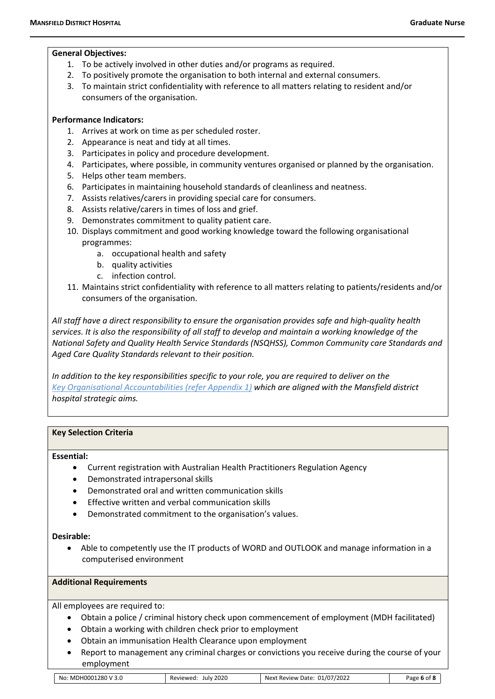#### **General Objectives:**

- 1. To be actively involved in other duties and/or programs as required.
- 2. To positively promote the organisation to both internal and external consumers.
- 3. To maintain strict confidentiality with reference to all matters relating to resident and/or consumers of the organisation.

# **Performance Indicators:**

- 1. Arrives at work on time as per scheduled roster.
- 2. Appearance is neat and tidy at all times.
- 3. Participates in policy and procedure development.
- 4. Participates, where possible, in community ventures organised or planned by the organisation.
- 5. Helps other team members.
- 6. Participates in maintaining household standards of cleanliness and neatness.
- 7. Assists relatives/carers in providing special care for consumers.
- 8. Assists relative/carers in times of loss and grief.
- 9. Demonstrates commitment to quality patient care.
- 10. Displays commitment and good working knowledge toward the following organisational programmes:
	- a. occupational health and safety
	- b. quality activities
	- c. infection control.
- 11. Maintains strict confidentiality with reference to all matters relating to patients/residents and/or consumers of the organisation.

*All staff have a direct responsibility to ensure the organisation provides safe and high-quality health services. It is also the responsibility of all staff to develop and maintain a working knowledge of the National Safety and Quality Health Service Standards (NSQHSS), Common Community care Standards and Aged Care Quality Standards relevant to their position.*

*In addition to the key responsibilities specific to your role, you are required to deliver on the Key Organisational Accountabilities (refer Appendix 1) which are aligned with the Mansfield district hospital strategic aims.*

# **Key Selection Criteria**

#### **Essential:**

- Current registration with Australian Health Practitioners Regulation Agency
- Demonstrated intrapersonal skills
- Demonstrated oral and written communication skills
- Effective written and verbal communication skills
- Demonstrated commitment to the organisation's values.

# **Desirable:**

Able to competently use the IT products of WORD and OUTLOOK and manage information in a computerised environment

# **Additional Requirements**

All employees are required to:

- Obtain a police / criminal history check upon commencement of employment (MDH facilitated)
- Obtain a working with children check prior to employment
- Obtain an immunisation Health Clearance upon employment
- Report to management any criminal charges or convictions you receive during the course of your employment

| 01280<br>ΗΩΟΙ<br>3.0<br>N0<br>MDF | 2020<br>Julv<br>۱۸۱۵۴ | 01/07/2022<br>. Date i<br>Next<br>Review | age, |
|-----------------------------------|-----------------------|------------------------------------------|------|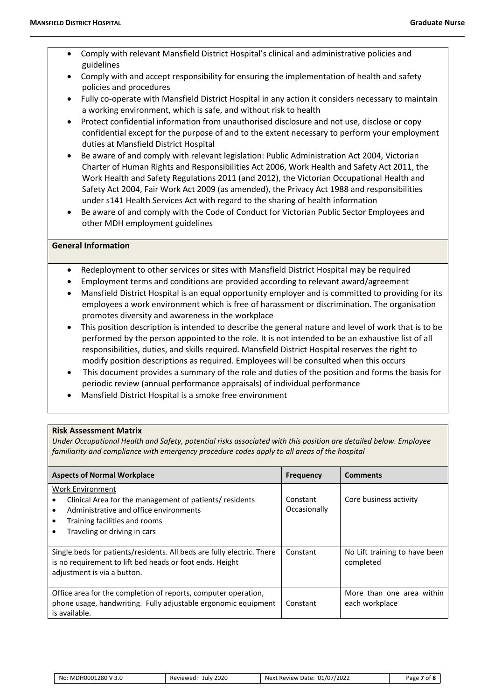- Comply with relevant Mansfield District Hospital's clinical and administrative policies and guidelines
- Comply with and accept responsibility for ensuring the implementation of health and safety policies and procedures
- Fully co-operate with Mansfield District Hospital in any action it considers necessary to maintain a working environment, which is safe, and without risk to health
- Protect confidential information from unauthorised disclosure and not use, disclose or copy confidential except for the purpose of and to the extent necessary to perform your employment duties at Mansfield District Hospital
- Be aware of and comply with relevant legislation: Public Administration Act 2004, Victorian Charter of Human Rights and Responsibilities Act 2006, Work Health and Safety Act 2011, the Work Health and Safety Regulations 2011 (and 2012), the Victorian Occupational Health and Safety Act 2004, Fair Work Act 2009 (as amended), the Privacy Act 1988 and responsibilities under s141 Health Services Act with regard to the sharing of health information
- Be aware of and comply with the Code of Conduct for Victorian Public Sector Employees and other MDH employment guidelines

#### **General Information**

- Redeployment to other services or sites with Mansfield District Hospital may be required
- Employment terms and conditions are provided according to relevant award/agreement
- Mansfield District Hospital is an equal opportunity employer and is committed to providing for its employees a work environment which is free of harassment or discrimination. The organisation promotes diversity and awareness in the workplace
- This position description is intended to describe the general nature and level of work that is to be performed by the person appointed to the role. It is not intended to be an exhaustive list of all responsibilities, duties, and skills required. Mansfield District Hospital reserves the right to modify position descriptions as required. Employees will be consulted when this occurs
- This document provides a summary of the role and duties of the position and forms the basis for periodic review (annual performance appraisals) of individual performance
- Mansfield District Hospital is a smoke free environment

# **Risk Assessment Matrix**

*Under Occupational Health and Safety, potential risks associated with this position are detailed below. Employee familiarity and compliance with emergency procedure codes apply to all areas of the hospital*

| <b>Aspects of Normal Workplace</b>                                                                                                                                                                 | <b>Frequency</b>         | <b>Comments</b>                             |
|----------------------------------------------------------------------------------------------------------------------------------------------------------------------------------------------------|--------------------------|---------------------------------------------|
| <b>Work Environment</b><br>Clinical Area for the management of patients/ residents<br>Administrative and office environments<br>Training facilities and rooms<br>٠<br>Traveling or driving in cars | Constant<br>Occasionally | Core business activity                      |
| Single beds for patients/residents. All beds are fully electric. There<br>is no requirement to lift bed heads or foot ends. Height<br>adjustment is via a button.                                  | Constant                 | No Lift training to have been<br>completed  |
| Office area for the completion of reports, computer operation,<br>phone usage, handwriting. Fully adjustable ergonomic equipment<br>is available.                                                  | Constant                 | More than one area within<br>each workplace |